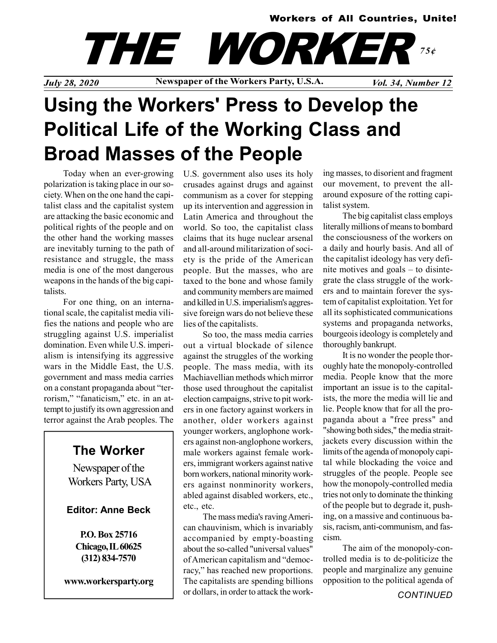### Workers of All Countries, Unite!

# THE WORKEI 75¢

July 28, 2020 Newspaper of the Workers Party, U.S.A. Vol. 34, Number 12

## Using the Workers' Press to Develop the Political Life of the Working Class and Broad Masses of the People

Today when an ever-growing polarization is taking place in our society. When on the one hand the capitalist class and the capitalist system are attacking the basic economic and political rights of the people and on the other hand the working masses are inevitably turning to the path of resistance and struggle, the mass media is one of the most dangerous weapons in the hands of the big capitalists.

For one thing, on an international scale, the capitalist media vilifies the nations and people who are struggling against U.S. imperialist domination. Even while U.S. imperialism is intensifying its aggressive wars in the Middle East, the U.S. government and mass media carries on a constant propaganda about "terrorism," "fanaticism," etc. in an attempt to justify its own aggression and terror against the Arab peoples. The

## The Worker

Newspaper of the Workers Party, USA

### Editor: Anne Beck

P.O. Box 25716 Chicago, IL 60625 (312) 834-7570

www.workersparty.org

U.S. government also uses its holy crusades against drugs and against communism as a cover for stepping up its intervention and aggression in Latin America and throughout the world. So too, the capitalist class claims that its huge nuclear arsenal and all-around militarization of society is the pride of the American people. But the masses, who are taxed to the bone and whose family and community members are maimed and killed in U.S. imperialism's aggressive foreign wars do not believe these lies of the capitalists.

So too, the mass media carries out a virtual blockade of silence against the struggles of the working people. The mass media, with its Machiavellian methods which mirror those used throughout the capitalist election campaigns, strive to pit workers in one factory against workers in another, older workers against younger workers, anglophone workers against non-anglophone workers, male workers against female workers, immigrant workers against native born workers, national minority workers against nonminority workers, abled against disabled workers, etc., etc., etc.

The mass media's raving American chauvinism, which is invariably accompanied by empty-boasting about the so-called "universal values" of American capitalism and "democracy," has reached new proportions. The capitalists are spending billions or dollars, in order to attack the working masses, to disorient and fragment our movement, to prevent the allaround exposure of the rotting capitalist system.

The big capitalist class employs literally millions of means to bombard the consciousness of the workers on a daily and hourly basis. And all of the capitalist ideology has very definite motives and goals – to disintegrate the class struggle of the workers and to maintain forever the system of capitalist exploitation. Yet for all its sophisticated communications systems and propaganda networks, bourgeois ideology is completely and thoroughly bankrupt.

It is no wonder the people thoroughly hate the monopoly-controlled media. People know that the more important an issue is to the capitalists, the more the media will lie and lie. People know that for all the propaganda about a "free press" and "showing both sides," the media straitjackets every discussion within the limits of the agenda of monopoly capital while blockading the voice and struggles of the people. People see how the monopoly-controlled media tries not only to dominate the thinking of the people but to degrade it, pushing, on a massive and continuous basis, racism, anti-communism, and fascism.

The aim of the monopoly-controlled media is to de-politicize the people and marginalize any genuine opposition to the political agenda of